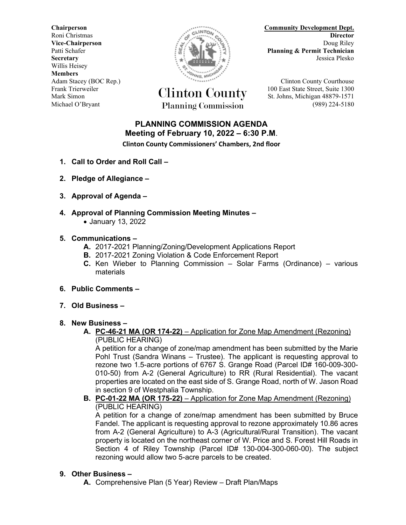**Secretary** Jessica Plesko Willis Heisey **Members**



Frank Trierweiler Clinton County 100 East State Street, Suite 1300 Mark Simon St. Johns, Michigan 48879-1571 Michael O'Bryant Planning Commission (989) 224-5180

**Community Development Dept.**<br> **Community Development Dept.**<br> **Community Development Dept.** Roni Christmas **Director Vice-Chairperson** Doug Riley **Doug Riley** Patti Schafer **Planning & Permit Technician** 

Adam Stacey (BOC Rep.) **Clinton County Courthouse** 

## **PLANNING COMMISSION AGENDA Meeting of February 10, 2022 – 6:30 P.M**.

**Clinton County Commissioners' Chambers, 2nd floor**

- **1. Call to Order and Roll Call –**
- **2. Pledge of Allegiance –**
- **3. Approval of Agenda –**
- **4. Approval of Planning Commission Meeting Minutes –**
	- January 13, 2022

## **5. Communications –**

- **A.** 2017-2021 Planning/Zoning/Development Applications Report
- **B.** 2017-2021 Zoning Violation & Code Enforcement Report
- **C.** Ken Wieber to Planning Commission Solar Farms (Ordinance) various materials
- **6. Public Comments –**
- **7. Old Business –**

## **8. New Business –**

**A. PC-46-21 MA (OR 174-22)** – Application for Zone Map Amendment (Rezoning) (PUBLIC HEARING)

A petition for a change of zone/map amendment has been submitted by the Marie Pohl Trust (Sandra Winans – Trustee). The applicant is requesting approval to rezone two 1.5-acre portions of 6767 S. Grange Road (Parcel ID# 160-009-300- 010-50) from A-2 (General Agriculture) to RR (Rural Residential). The vacant properties are located on the east side of S. Grange Road, north of W. Jason Road in section 9 of Westphalia Township.

**B. PC-01-22 MA (OR 175-22)** – Application for Zone Map Amendment (Rezoning) (PUBLIC HEARING)

A petition for a change of zone/map amendment has been submitted by Bruce Fandel. The applicant is requesting approval to rezone approximately 10.86 acres from A-2 (General Agriculture) to A-3 (Agricultural/Rural Transition). The vacant property is located on the northeast corner of W. Price and S. Forest Hill Roads in Section 4 of Riley Township (Parcel ID# 130-004-300-060-00). The subject rezoning would allow two 5-acre parcels to be created.

## **9. Other Business –**

**A.** Comprehensive Plan (5 Year) Review – Draft Plan/Maps